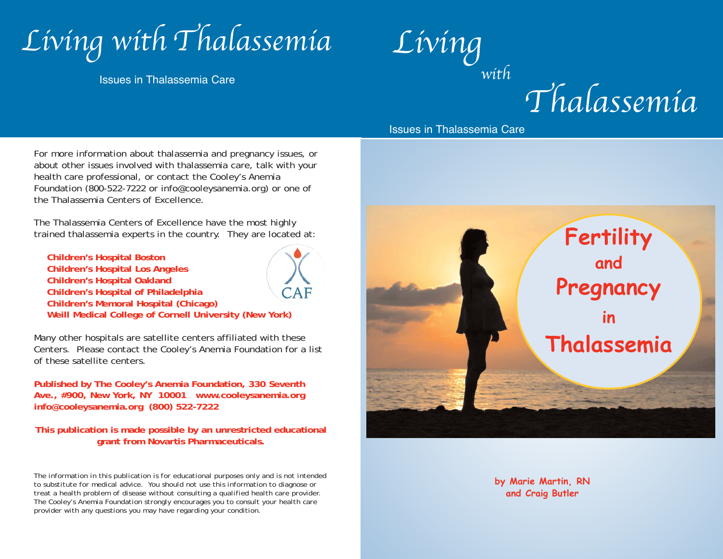

Issues in Thalassemia Care

 $\overline{Living}$ with

Thalassemia

For more information about thalassemia and pregnancy issues, or about other issues involved with thalassemia care, talk with your health care professional, or contact the Cooley's Anemia Foundation (800-522-7222 or info@cooleysanemia.org) or one of the Thalassemia Centers of Excellence.

The Thalassemia Centers of Excellence have the most highly trained thalassemia experts in the country. They are located at:

**Children's Hospital Boston Children's Hospital Los Angeles Children's Hospital Oakland Children's Hospital of Philadelphia Children's Memoral Hospital (Chicago) Weill Medical College of Cornell University (New York)**

 $CAF$ 

Many other hospitals are satellite centers affiliated with these Centers. Please contact the Cooley's Anemia Foundation for a list of these satellite centers.

**Published by The Cooley's Anemia Foundation, 330 Seventh Ave., #900, New York, NY 10001 www.cooleysanemia.org info@cooleysanemia.org (800) 522-7222**

**This publication is made possible by an unrestricted educational grant from Novartis Pharmaceuticals.**

*The information in this publication is for educational purposes only and is not intended to substitute for medical advice. You should not use this information to diagnose or treat a health problem of disease without consulting a qualified health care provider. The Cooley's Anemia Foundation strongly encourages you to consult your health care provider with any questions you may have regarding your condition.*

Issues in Thalassemia Care



**by Marie Martin, RN and Craig Butler**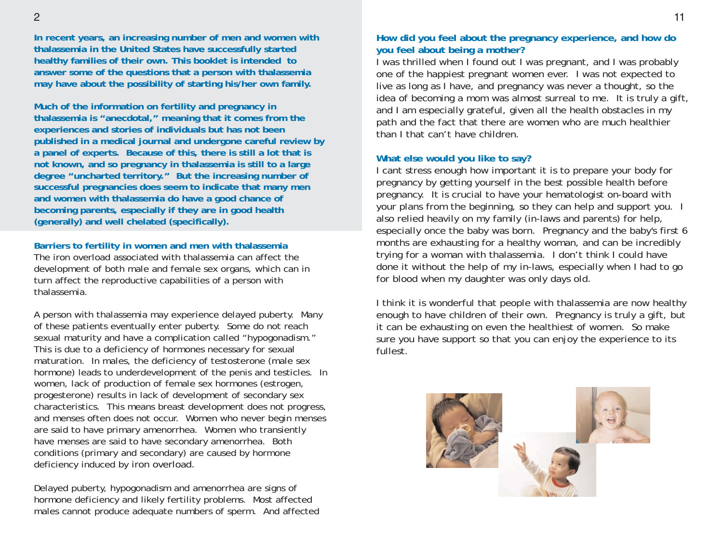**In recent years, an increasing number of men and women with thalassemia in the United States have successfully started healthy families of their own. This booklet is intended to answer some of the questions that a person with thalassemia may have about the possibility of starting his/her own family.** 

**Much of the information on fertility and pregnancy in thalassemia is "anecdotal," meaning that it comes from the experiences and stories of individuals but has not been published in a medical journal and undergone careful review by a panel of experts. Because of this, there is still a lot that is not known, and so pregnancy in thalassemia is still to a large degree "uncharted territory." But the increasing number of successful pregnancies does seem to indicate that many men and women with thalassemia do have a good chance of becoming parents, especially if they are in good health (generally) and well chelated (specifically).**

#### **Barriers to fertility in women and men with thalassemia**

The iron overload associated with thalassemia can affect the development of both male and female sex organs, which can in turn affect the reproductive capabilities of a person with thalassemia.

A person with thalassemia may experience delayed puberty. Many of these patients eventually enter puberty. Some do not reach sexual maturity and have a complication called "hypogonadism." This is due to a deficiency of hormones necessary for sexual maturation. In males, the deficiency of testosterone (male sex hormone) leads to underdevelopment of the penis and testicles. In women, lack of production of female sex hormones (estrogen, progesterone) results in lack of development of secondary sex characteristics. This means breast development does not progress, and menses often does not occur. Women who never begin menses are said to have primary amenorrhea. Women who transiently have menses are said to have secondary amenorrhea. Both conditions (primary and secondary) are caused by hormone deficiency induced by iron overload.

Delayed puberty, hypogonadism and amenorrhea are signs of hormone deficiency and likely fertility problems. Most affected males cannot produce adequate numbers of sperm. And affected

## **How did you feel about the pregnancy experience, and how do you feel about being a mother?**

I was thrilled when I found out I was pregnant, and I was probably one of the happiest pregnant women ever. I was not expected to live as long as I have, and pregnancy was never a thought, so the idea of becoming a mom was almost surreal to me. It is truly a gift, and I am especially grateful, given all the health obstacles in my path and the fact that there are women who are much healthier than I that can't have children.

#### **What else would you like to say?**

I cant stress enough how important it is to prepare your body for pregnancy by getting yourself in the best possible health before pregnancy. It is crucial to have your hematologist on-board with your plans from the beginning, so they can help and support you. I also relied heavily on my family (in-laws and parents) for help, especially once the baby was born. Pregnancy and the baby's first 6 months are exhausting for a healthy woman, and can be incredibly trying for a woman with thalassemia. I don't think I could have done it without the help of my in-laws, especially when I had to go for blood when my daughter was only days old.

I think it is wonderful that people with thalassemia are now healthy enough to have children of their own. Pregnancy is truly a gift, but it can be exhausting on even the healthiest of women. So make sure you have support so that you can enjoy the experience to its fullest.

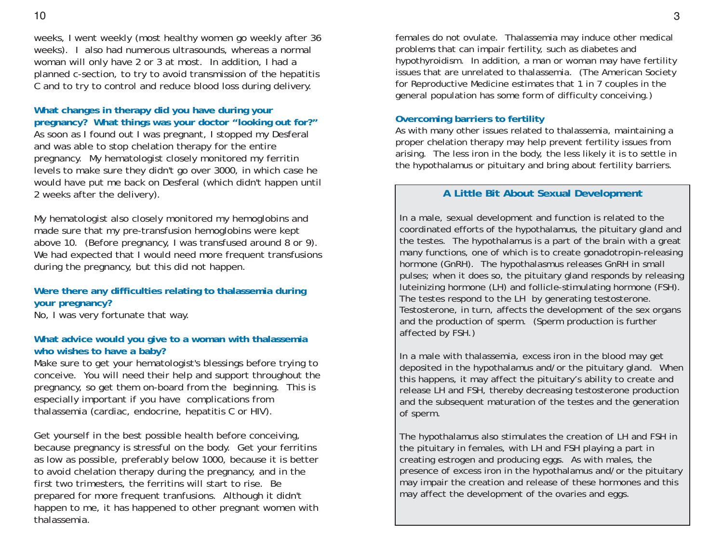weeks, I went weekly (most healthy women go weekly after 36 weeks). I also had numerous ultrasounds, whereas a normal woman will only have 2 or 3 at most. In addition, I had a planned c-section, to try to avoid transmission of the hepatitis C and to try to control and reduce blood loss during delivery.

# **What changes in therapy did you have during your pregnancy? What things was your doctor "looking out for?"**

As soon as I found out I was pregnant, I stopped my Desferal and was able to stop chelation therapy for the entire pregnancy. My hematologist closely monitored my ferritin levels to make sure they didn't go over 3000, in which case he would have put me back on Desferal (which didn't happen until 2 weeks after the delivery).

My hematologist also closely monitored my hemoglobins and made sure that my pre-transfusion hemoglobins were kept above 10. (Before pregnancy, I was transfused around 8 or 9). We had expected that I would need more frequent transfusions during the pregnancy, but this did not happen.

## **Were there any difficulties relating to thalassemia during your pregnancy?**

No, I was very fortunate that way.

## **What advice would you give to a woman with thalassemia who wishes to have a baby?**

Make sure to get your hematologist's blessings before trying to conceive. You will need their help and support throughout the pregnancy, so get them on-board from the beginning. This is especially important if you have complications from thalassemia (cardiac, endocrine, hepatitis C or HIV).

Get yourself in the best possible health before conceiving, because pregnancy is stressful on the body. Get your ferritins as low as possible, preferably below 1000, because it is better to avoid chelation therapy during the pregnancy, and in the first two trimesters, the ferritins will start to rise. Be prepared for more frequent tranfusions. Although it didn't happen to me, it has happened to other pregnant women with thalassemia.

females do not ovulate. Thalassemia may induce other medical problems that can impair fertility, such as diabetes and hypothyroidism. In addition, a man or woman may have fertility issues that are unrelated to thalassemia. (The American Society for Reproductive Medicine estimates that 1 in 7 couples in the general population has some form of difficulty conceiving.)

## **Overcoming barriers to fertility**

As with many other issues related to thalassemia, maintaining a proper chelation therapy may help prevent fertility issues from arising. The less iron in the body, the less likely it is to settle in the hypothalamus or pituitary and bring about fertility barriers.

## **A Little Bit About Sexual Development**

In a male, sexual development and function is related to the coordinated efforts of the hypothalamus, the pituitary gland and the testes. The hypothalamus is a part of the brain with a great many functions, one of which is to create gonadotropin-releasing hormone (GnRH). The hypothalasmus releases GnRH in small pulses; when it does so, the pituitary gland responds by releasing luteinizing hormone (LH) and follicle-stimulating hormone (FSH). The testes respond to the LH by generating testosterone. Testosterone, in turn, affects the development of the sex organs and the production of sperm. (Sperm production is further affected by FSH.)

In a male with thalassemia, excess iron in the blood may get deposited in the hypothalamus and/or the pituitary gland. When this happens, it may affect the pituitary's ability to create and release LH and FSH, thereby decreasing testosterone production and the subsequent maturation of the testes and the generation of sperm.

The hypothalamus also stimulates the creation of LH and FSH in the pituitary in females, with LH and FSH playing a part in creating estrogen and producing eggs. As with males, the presence of excess iron in the hypothalamus and/or the pituitary may impair the creation and release of these hormones and this may affect the development of the ovaries and eggs.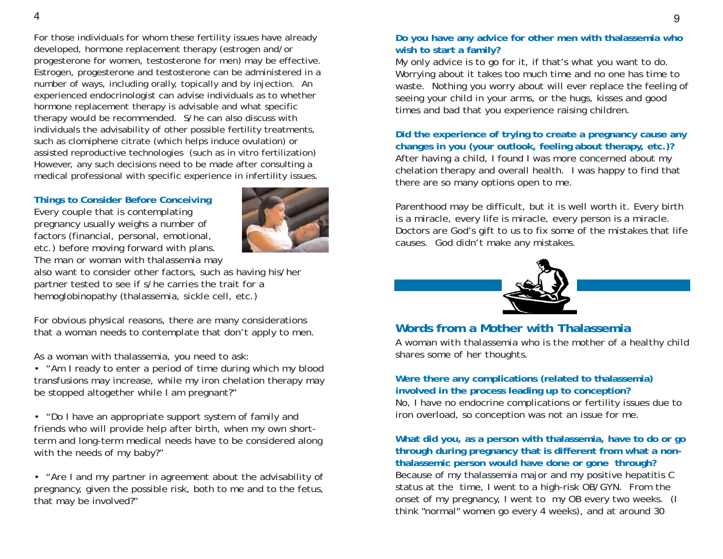For those individuals for whom these fertility issues have already developed, hormone replacement therapy (estrogen and/or progesterone for women, testosterone for men) may be effective. Estrogen, progesterone and testosterone can be administered in a number of ways, including orally, topically and by injection. An experienced endocrinologist can advise individuals as to whether hormone replacement therapy is advisable and what specific therapy would be recommended. S/he can also discuss with individuals the advisability of other possible fertility treatments, such as clomiphene citrate (which helps induce ovulation) or assisted reproductive technologies (such as in vitro fertilization) However, any such decisions need to be made after consulting a medical professional with specific experience in infertility issues.

#### **Things to Consider Before Conceiving**

Every couple that is contemplating pregnancy usually weighs a number of factors (financial, personal, emotional, etc.) before moving forward with plans. The man or woman with thalassemia may



also want to consider other factors, such as having his/her partner tested to see if s/he carries the trait for a hemoglobinopathy (thalassemia, sickle cell, etc.)

For obvious physical reasons, there are many considerations that a woman needs to contemplate that don't apply to men.

As a woman with thalassemia, you need to ask:

• "Am I ready to enter a period of time during which my blood transfusions may increase, while my iron chelation therapy may be stopped altogether while I am pregnant?"

• "Do I have an appropriate support system of family and friends who will provide help after birth, when my own shortterm and long-term medical needs have to be considered along with the needs of my baby?"

• "Are I and my partner in agreement about the advisability of pregnancy, given the possible risk, both to me and to the fetus, that may be involved?"

### **Do you have any advice for other men with thalassemia who wish to start a family?**

My only advice is to go for it, if that's what you want to do. Worrying about it takes too much time and no one has time to waste. Nothing you worry about will ever replace the feeling of seeing your child in your arms, or the hugs, kisses and good times and bad that you experience raising children.

**Did the experience of trying to create a pregnancy cause any changes in you (your outlook, feeling about therapy, etc.)?** After having a child, I found I was more concerned about my chelation therapy and overall health. I was happy to find that there are so many options open to me.

Parenthood may be difficult, but it is well worth it. Every birth is a miracle, every life is miracle, every person is a miracle. Doctors are God's gift to us to fix some of the mistakes that life causes. God didn't make any mistakes.



# **Words from a Mother with Thalassemia**

*A woman with thalassemia who is the mother of a healthy child shares some of her thoughts.*

### **Were there any complications (related to thalassemia) involved in the process leading up to conception?**

No, I have no endocrine complications or fertility issues due to iron overload, so conception was not an issue for me.

**What did you, as a person with thalassemia, have to do or go through during pregnancy that is different from what a nonthalassemic person would have done or gone through?**  Because of my thalassemia major and my positive hepatitis C status at the time, I went to a high-risk OB/GYN. From the onset of my pregnancy, I went to my OB every two weeks. (I think "normal" women go every 4 weeks), and at around 30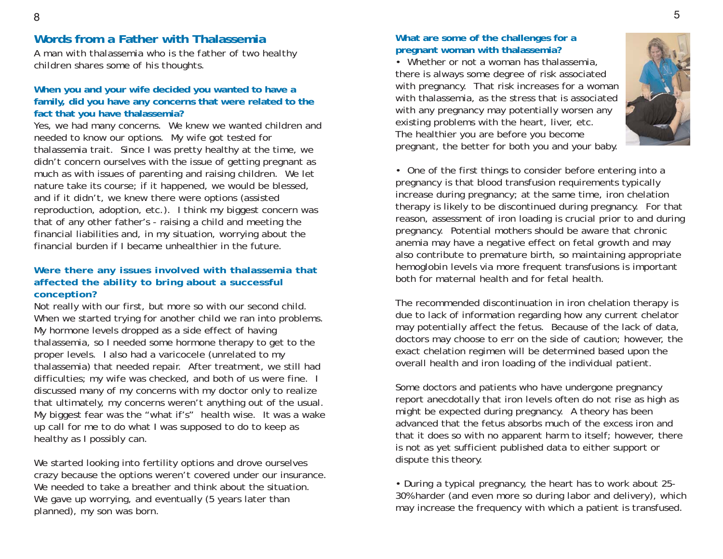# **Words from a Father with Thalassemia**

*A man with thalassemia who is the father of two healthy children shares some of his thoughts.*

### **When you and your wife decided you wanted to have a family, did you have any concerns that were related to the fact that you have thalassemia?**

Yes, we had many concerns. We knew we wanted children and needed to know our options. My wife got tested for thalassemia trait. Since I was pretty healthy at the time, we didn't concern ourselves with the issue of getting pregnant as much as with issues of parenting and raising children. We let nature take its course; if it happened, we would be blessed, and if it didn't, we knew there were options (assisted reproduction, adoption, etc.). I think my biggest concern was that of any other father's - raising a child and meeting the financial liabilities and, in my situation, worrying about the financial burden if I became unhealthier in the future.

## **Were there any issues involved with thalassemia that affected the ability to bring about a successful conception?**

Not really with our first, but more so with our second child. When we started trying for another child we ran into problems. My hormone levels dropped as a side effect of having thalassemia, so I needed some hormone therapy to get to the proper levels. I also had a varicocele (unrelated to my thalassemia) that needed repair. After treatment, we still had difficulties; my wife was checked, and both of us were fine. I discussed many of my concerns with my doctor only to realize that ultimately, my concerns weren't anything out of the usual. My biggest fear was the "what if's" health wise. It was a wake up call for me to do what I was supposed to do to keep as healthy as I possibly can.

We started looking into fertility options and drove ourselves crazy because the options weren't covered under our insurance. We needed to take a breather and think about the situation. We gave up worrying, and eventually (5 years later than planned), my son was born.

## **What are some of the challenges for a pregnant woman with thalassemia?**

• Whether or not a woman has thalassemia, there is always some degree of risk associated with pregnancy. That risk increases for a woman with thalassemia, as the stress that is associated with any pregnancy may potentially worsen any existing problems with the heart, liver, etc. The healthier you are before you become pregnant, the better for both you and your baby.



• One of the first things to consider before entering into a pregnancy is that blood transfusion requirements typically increase during pregnancy; at the same time, iron chelation therapy is likely to be discontinued during pregnancy. For that reason, assessment of iron loading is crucial prior to and during pregnancy. Potential mothers should be aware that chronic anemia may have a negative effect on fetal growth and may also contribute to premature birth, so maintaining appropriate hemoglobin levels via more frequent transfusions is important both for maternal health and for fetal health.

The recommended discontinuation in iron chelation therapy is due to lack of information regarding how any current chelator may potentially affect the fetus. Because of the lack of data, doctors may choose to err on the side of caution; however, the exact chelation regimen will be determined based upon the overall health and iron loading of the individual patient.

Some doctors and patients who have undergone pregnancy report anecdotally that iron levels often do not rise as high as might be expected during pregnancy. A theory has been advanced that the fetus absorbs much of the excess iron and that it does so with no apparent harm to itself; however, there is not as yet sufficient published data to either support or dispute this theory.

• During a typical pregnancy, the heart has to work about 25- 30% harder (and even more so during labor and delivery), which may increase the frequency with which a patient is transfused.